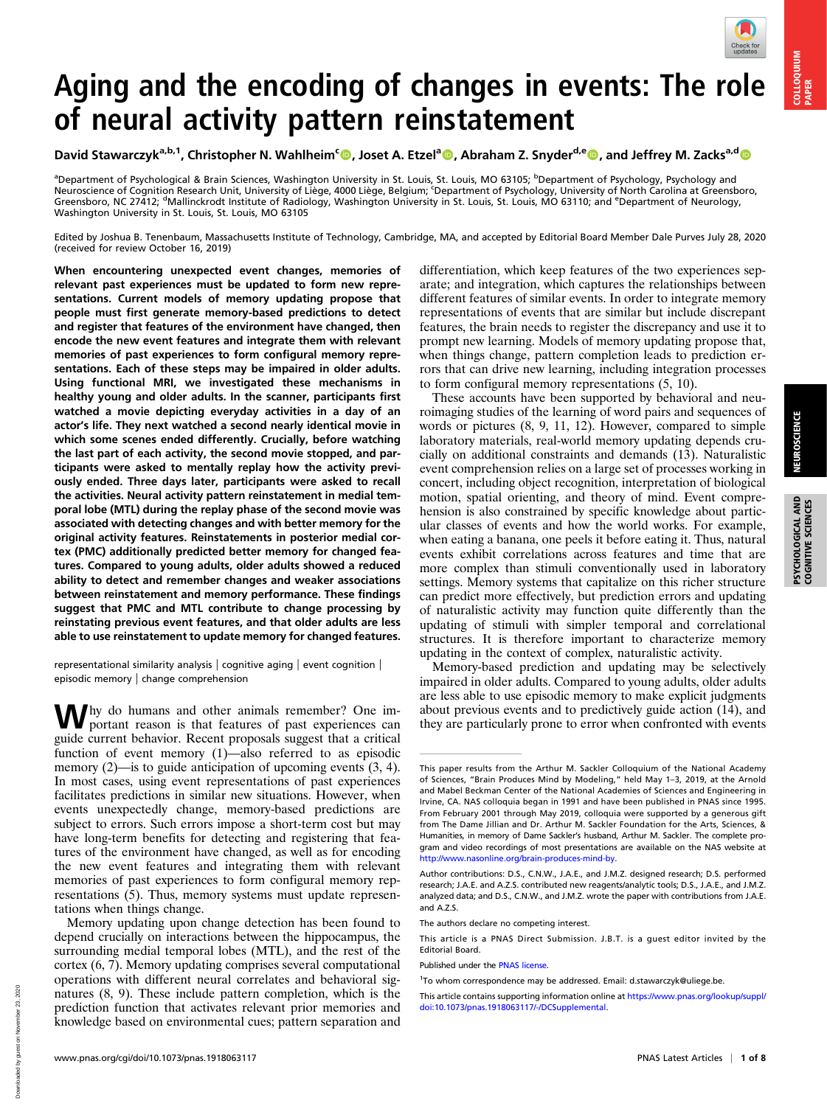

COLLOQUIUM COLLOQUIUM<br>PAPER

## Aging and the encoding of changes in events: The role of neural activity pattern reinstatement

David Stawarczyk<sup>a,b,1</sup>, Christopher N. Wahlheim<sup>c</sup>©, Joset A. Etzel<sup>a</sup>©, Abraham Z. Snyder<sup>d,e</sup>©, and Jeffrey M. Zacks<sup>a,d</sup>©

<sup>a</sup>Department of Psychological & Brain Sciences, Washington University in St. Louis, St. Louis, MO 63105; <sup>b</sup>Department of Psychology, Psychology and Neuroscience of Cognition Research Unit, University of Liège, 4000 Liège, Belgium; <sup>c</sup>Department of Psychology, University of North Carolina at Greensboro, Greensboro, NC 27412; <sup>d</sup>Mallinckrodt Institute of Radiology, Washington University in St. Louis, St. Louis, MO 63110; and <sup>e</sup>Department of Neurology, Washington University in St. Louis, St. Louis, MO 63105

Edited by Joshua B. Tenenbaum, Massachusetts Institute of Technology, Cambridge, MA, and accepted by Editorial Board Member Dale Purves July 28, 2020 (received for review October 16, 2019)

When encountering unexpected event changes, memories of relevant past experiences must be updated to form new representations. Current models of memory updating propose that people must first generate memory-based predictions to detect and register that features of the environment have changed, then encode the new event features and integrate them with relevant memories of past experiences to form configural memory representations. Each of these steps may be impaired in older adults. Using functional MRI, we investigated these mechanisms in healthy young and older adults. In the scanner, participants first watched a movie depicting everyday activities in a day of an actor's life. They next watched a second nearly identical movie in which some scenes ended differently. Crucially, before watching the last part of each activity, the second movie stopped, and participants were asked to mentally replay how the activity previously ended. Three days later, participants were asked to recall the activities. Neural activity pattern reinstatement in medial temporal lobe (MTL) during the replay phase of the second movie was associated with detecting changes and with better memory for the original activity features. Reinstatements in posterior medial cortex (PMC) additionally predicted better memory for changed features. Compared to young adults, older adults showed a reduced ability to detect and remember changes and weaker associations between reinstatement and memory performance. These findings suggest that PMC and MTL contribute to change processing by reinstating previous event features, and that older adults are less able to use reinstatement to update memory for changed features.

representational similarity analysis | cognitive aging | event cognition | episodic memory | change comprehension

Why do humans and other animals remember? One imguide current behavior. Recent proposals suggest that a critical function of event memory (1)—also referred to as episodic memory (2)—is to guide anticipation of upcoming events (3, 4). In most cases, using event representations of past experiences facilitates predictions in similar new situations. However, when events unexpectedly change, memory-based predictions are subject to errors. Such errors impose a short-term cost but may have long-term benefits for detecting and registering that features of the environment have changed, as well as for encoding the new event features and integrating them with relevant memories of past experiences to form configural memory representations (5). Thus, memory systems must update representations when things change.

differentiation, which keep features of the two experiences separate; and integration, which captures the relationships between different features of similar events. In order to integrate memory representations of events that are similar but include discrepant features, the brain needs to register the discrepancy and use it to prompt new learning. Models of memory updating propose that, when things change, pattern completion leads to prediction errors that can drive new learning, including integration processes to form configural memory representations (5, 10).

These accounts have been supported by behavioral and neuroimaging studies of the learning of word pairs and sequences of words or pictures (8, 9, 11, 12). However, compared to simple laboratory materials, real-world memory updating depends crucially on additional constraints and demands (13). Naturalistic event comprehension relies on a large set of processes working in concert, including object recognition, interpretation of biological motion, spatial orienting, and theory of mind. Event comprehension is also constrained by specific knowledge about particular classes of events and how the world works. For example, when eating a banana, one peels it before eating it. Thus, natural events exhibit correlations across features and time that are more complex than stimuli conventionally used in laboratory settings. Memory systems that capitalize on this richer structure can predict more effectively, but prediction errors and updating of naturalistic activity may function quite differently than the updating of stimuli with simpler temporal and correlational structures. It is therefore important to characterize memory updating in the context of complex, naturalistic activity.

Memory-based prediction and updating may be selectively impaired in older adults. Compared to young adults, older adults are less able to use episodic memory to make explicit judgments about previous events and to predictively guide action (14), and they are particularly prone to error when confronted with events

Memory updating upon change detection has been found to depend crucially on interactions between the hippocampus, the surrounding medial temporal lobes (MTL), and the rest of the cortex (6, 7). Memory updating comprises several computational operations with different neural correlates and behavioral signatures (8, 9). These include pattern completion, which is the prediction function that activates relevant prior memories and knowledge based on environmental cues; pattern separation and

This paper results from the Arthur M. Sackler Colloquium of the National Academy of Sciences, "Brain Produces Mind by Modeling," held May 1–3, 2019, at the Arnold and Mabel Beckman Center of the National Academies of Sciences and Engineering in Irvine, CA. NAS colloquia began in 1991 and have been published in PNAS since 1995. From February 2001 through May 2019, colloquia were supported by a generous gift from The Dame Jillian and Dr. Arthur M. Sackler Foundation for the Arts, Sciences, & Humanities, in memory of Dame Sackler's husband, Arthur M. Sackler. The complete program and video recordings of most presentations are available on the NAS website at <http://www.nasonline.org/brain-produces-mind-by>.

Author contributions: D.S., C.N.W., J.A.E., and J.M.Z. designed research; D.S. performed research; J.A.E. and A.Z.S. contributed new reagents/analytic tools; D.S., J.A.E., and J.M.Z. analyzed data; and D.S., C.N.W., and J.M.Z. wrote the paper with contributions from J.A.E. and A.Z.S.

The authors declare no competing interest.

This article is a PNAS Direct Submission. J.B.T. is a guest editor invited by the Editorial Board.

Published under the [PNAS license.](https://www.pnas.org/site/aboutpnas/licenses.xhtml)

<sup>1</sup> To whom correspondence may be addressed. Email: [d.stawarczyk@uliege.be](mailto:d.stawarczyk@uliege.be).

This article contains supporting information online at [https://www.pnas.org/lookup/suppl/](https://www.pnas.org/lookup/suppl/doi:10.1073/pnas.1918063117/-/DCSupplemental) [doi:10.1073/pnas.1918063117/-/DCSupplemental.](https://www.pnas.org/lookup/suppl/doi:10.1073/pnas.1918063117/-/DCSupplemental)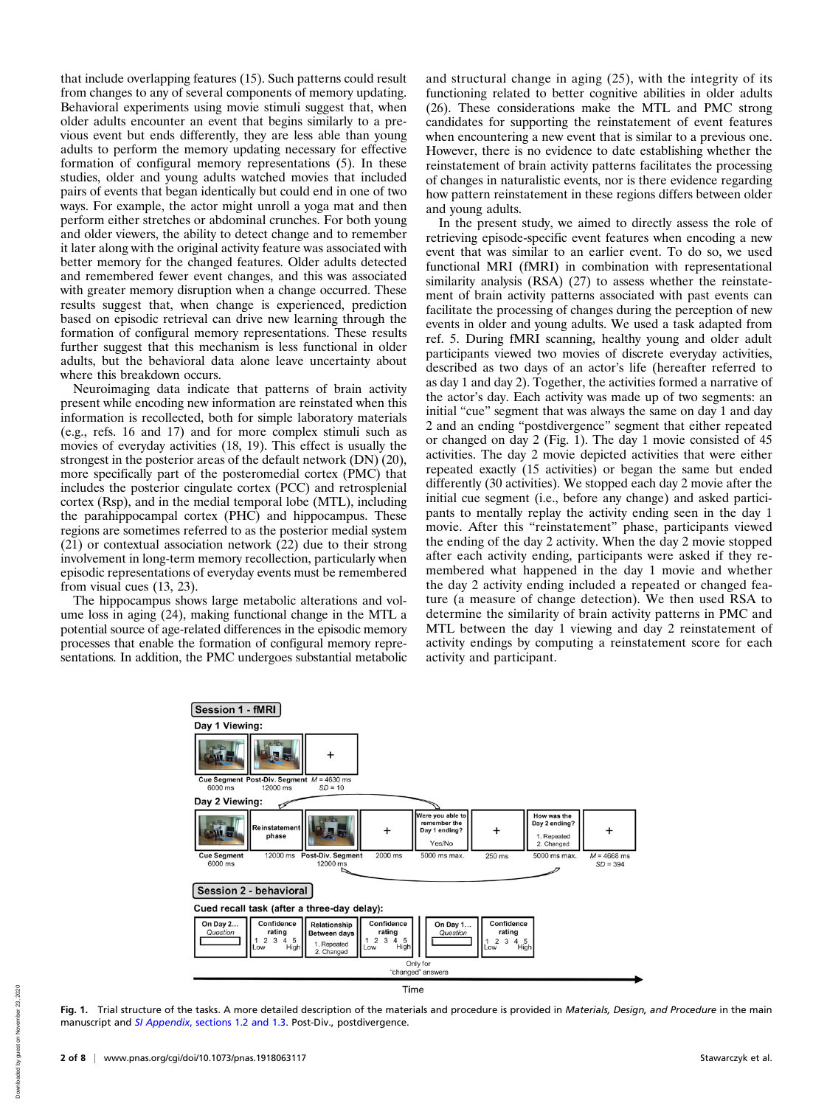that include overlapping features (15). Such patterns could result from changes to any of several components of memory updating. Behavioral experiments using movie stimuli suggest that, when older adults encounter an event that begins similarly to a previous event but ends differently, they are less able than young adults to perform the memory updating necessary for effective formation of configural memory representations (5). In these studies, older and young adults watched movies that included pairs of events that began identically but could end in one of two ways. For example, the actor might unroll a yoga mat and then perform either stretches or abdominal crunches. For both young and older viewers, the ability to detect change and to remember it later along with the original activity feature was associated with better memory for the changed features. Older adults detected and remembered fewer event changes, and this was associated with greater memory disruption when a change occurred. These results suggest that, when change is experienced, prediction based on episodic retrieval can drive new learning through the formation of configural memory representations. These results further suggest that this mechanism is less functional in older adults, but the behavioral data alone leave uncertainty about where this breakdown occurs.

Neuroimaging data indicate that patterns of brain activity present while encoding new information are reinstated when this information is recollected, both for simple laboratory materials (e.g., refs. 16 and 17) and for more complex stimuli such as movies of everyday activities (18, 19). This effect is usually the strongest in the posterior areas of the default network (DN) (20), more specifically part of the posteromedial cortex (PMC) that includes the posterior cingulate cortex (PCC) and retrosplenial cortex (Rsp), and in the medial temporal lobe (MTL), including the parahippocampal cortex (PHC) and hippocampus. These regions are sometimes referred to as the posterior medial system (21) or contextual association network (22) due to their strong involvement in long-term memory recollection, particularly when episodic representations of everyday events must be remembered from visual cues (13, 23).

The hippocampus shows large metabolic alterations and volume loss in aging (24), making functional change in the MTL a potential source of age-related differences in the episodic memory processes that enable the formation of configural memory representations. In addition, the PMC undergoes substantial metabolic and structural change in aging (25), with the integrity of its functioning related to better cognitive abilities in older adults (26). These considerations make the MTL and PMC strong candidates for supporting the reinstatement of event features when encountering a new event that is similar to a previous one. However, there is no evidence to date establishing whether the reinstatement of brain activity patterns facilitates the processing of changes in naturalistic events, nor is there evidence regarding how pattern reinstatement in these regions differs between older and young adults.

In the present study, we aimed to directly assess the role of retrieving episode-specific event features when encoding a new event that was similar to an earlier event. To do so, we used functional MRI (fMRI) in combination with representational similarity analysis (RSA) (27) to assess whether the reinstatement of brain activity patterns associated with past events can facilitate the processing of changes during the perception of new events in older and young adults. We used a task adapted from ref. 5. During fMRI scanning, healthy young and older adult participants viewed two movies of discrete everyday activities, described as two days of an actor's life (hereafter referred to as day 1 and day 2). Together, the activities formed a narrative of the actor's day. Each activity was made up of two segments: an initial "cue" segment that was always the same on day 1 and day 2 and an ending "postdivergence" segment that either repeated or changed on day 2 (Fig. 1). The day 1 movie consisted of 45 activities. The day 2 movie depicted activities that were either repeated exactly (15 activities) or began the same but ended differently (30 activities). We stopped each day 2 movie after the initial cue segment (i.e., before any change) and asked participants to mentally replay the activity ending seen in the day 1 movie. After this "reinstatement" phase, participants viewed the ending of the day 2 activity. When the day 2 movie stopped after each activity ending, participants were asked if they remembered what happened in the day 1 movie and whether the day 2 activity ending included a repeated or changed feature (a measure of change detection). We then used RSA to determine the similarity of brain activity patterns in PMC and MTL between the day 1 viewing and day 2 reinstatement of activity endings by computing a reinstatement score for each activity and participant.



Fig. 1. Trial structure of the tasks. A more detailed description of the materials and procedure is provided in Materials, Design, and Procedure in the main manuscript and SI Appendix[, sections 1.2 and 1.3](https://www.pnas.org/lookup/suppl/doi:10.1073/pnas.1918063117/-/DCSupplemental). Post-Div., postdivergence.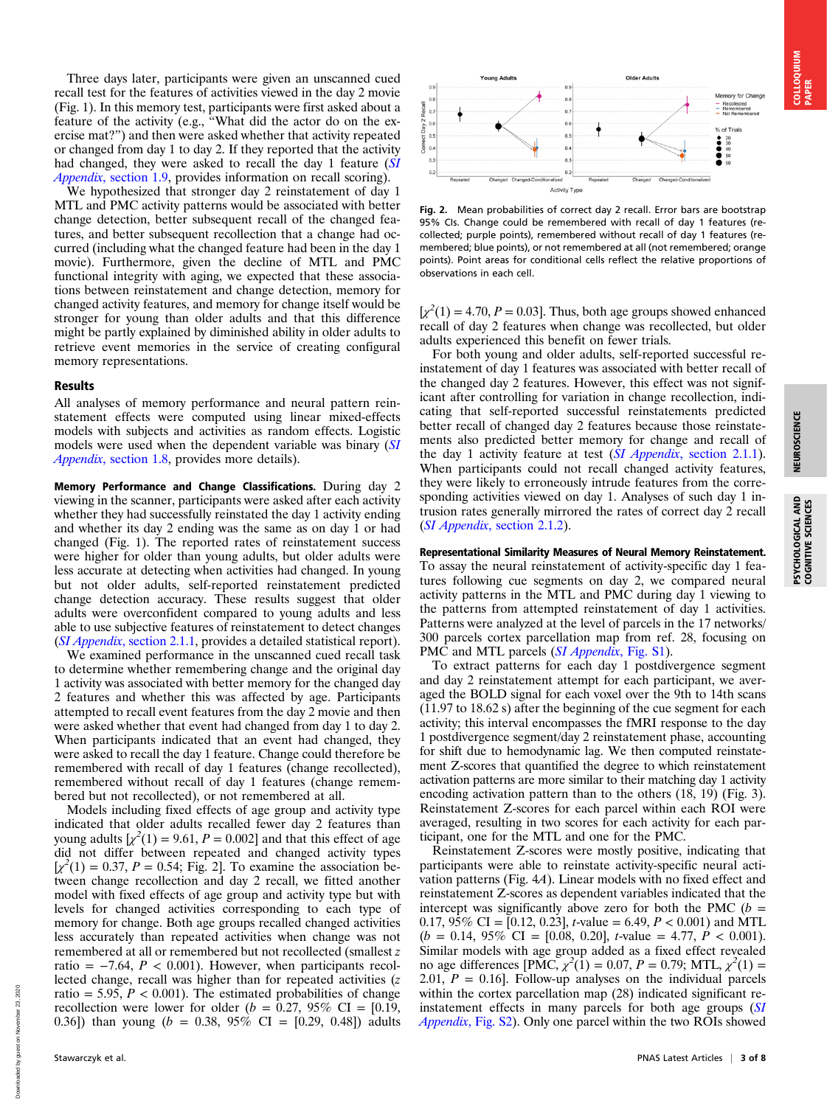Three days later, participants were given an unscanned cued recall test for the features of activities viewed in the day 2 movie (Fig. 1). In this memory test, participants were first asked about a feature of the activity (e.g., "What did the actor do on the exercise mat?") and then were asked whether that activity repeated or changed from day 1 to day 2. If they reported that the activity had changed, they were asked to recall the day 1 feature ([SI](https://www.pnas.org/lookup/suppl/doi:10.1073/pnas.1918063117/-/DCSupplemental) Appendix[, section 1.9,](https://www.pnas.org/lookup/suppl/doi:10.1073/pnas.1918063117/-/DCSupplemental) provides information on recall scoring).

We hypothesized that stronger day 2 reinstatement of day 1 MTL and PMC activity patterns would be associated with better change detection, better subsequent recall of the changed features, and better subsequent recollection that a change had occurred (including what the changed feature had been in the day 1 movie). Furthermore, given the decline of MTL and PMC functional integrity with aging, we expected that these associations between reinstatement and change detection, memory for changed activity features, and memory for change itself would be stronger for young than older adults and that this difference might be partly explained by diminished ability in older adults to retrieve event memories in the service of creating configural memory representations.

## Results

All analyses of memory performance and neural pattern reinstatement effects were computed using linear mixed-effects models with subjects and activities as random effects. Logistic models were used when the dependent variable was binary ([SI](https://www.pnas.org/lookup/suppl/doi:10.1073/pnas.1918063117/-/DCSupplemental) Appendix[, section 1.8,](https://www.pnas.org/lookup/suppl/doi:10.1073/pnas.1918063117/-/DCSupplemental) provides more details).

Memory Performance and Change Classifications. During day 2 viewing in the scanner, participants were asked after each activity whether they had successfully reinstated the day 1 activity ending and whether its day 2 ending was the same as on day 1 or had changed (Fig. 1). The reported rates of reinstatement success were higher for older than young adults, but older adults were less accurate at detecting when activities had changed. In young but not older adults, self-reported reinstatement predicted change detection accuracy. These results suggest that older adults were overconfident compared to young adults and less able to use subjective features of reinstatement to detect changes (SI Appendix[, section 2.1.1,](https://www.pnas.org/lookup/suppl/doi:10.1073/pnas.1918063117/-/DCSupplemental) provides a detailed statistical report).

We examined performance in the unscanned cued recall task to determine whether remembering change and the original day 1 activity was associated with better memory for the changed day 2 features and whether this was affected by age. Participants attempted to recall event features from the day 2 movie and then were asked whether that event had changed from day 1 to day 2. When participants indicated that an event had changed, they were asked to recall the day 1 feature. Change could therefore be remembered with recall of day 1 features (change recollected), remembered without recall of day 1 features (change remembered but not recollected), or not remembered at all.

Models including fixed effects of age group and activity type indicated that older adults recalled fewer day 2 features than young adults  $\left[\chi^2(1) = 9.61, P = 0.002\right]$  and that this effect of age did not differ between repeated and changed activity types  $[\chi^2(1) = 0.37, P = 0.54; Fig. 2]$ . To examine the association between change recollection and day 2 recall, we fitted another model with fixed effects of age group and activity type but with levels for changed activities corresponding to each type of memory for change. Both age groups recalled changed activities less accurately than repeated activities when change was not remembered at all or remembered but not recollected (smallest z ratio =  $-7.64$ ,  $P < 0.001$ ). However, when participants recollected change, recall was higher than for repeated activities (z ratio = 5.95,  $P < 0.001$ ). The estimated probabilities of change recollection were lower for older ( $b = 0.27, 95\%$  CI = [0.19, 0.36]) than young  $(b = 0.38, 95\% \text{ CI} = [0.29, 0.48])$  adults



Fig. 2. Mean probabilities of correct day 2 recall. Error bars are bootstrap 95% CIs. Change could be remembered with recall of day 1 features (recollected; purple points), remembered without recall of day 1 features (remembered; blue points), or not remembered at all (not remembered; orange points). Point areas for conditional cells reflect the relative proportions of observations in each cell.

 $[\chi^2(1) = 4.70, P = 0.03]$ . Thus, both age groups showed enhanced recall of day 2 features when change was recollected, but older adults experienced this benefit on fewer trials.

For both young and older adults, self-reported successful reinstatement of day 1 features was associated with better recall of the changed day 2 features. However, this effect was not significant after controlling for variation in change recollection, indicating that self-reported successful reinstatements predicted better recall of changed day 2 features because those reinstatements also predicted better memory for change and recall of the day 1 activity feature at test (SI Appendix[, section 2.1.1](https://www.pnas.org/lookup/suppl/doi:10.1073/pnas.1918063117/-/DCSupplemental)). When participants could not recall changed activity features, they were likely to erroneously intrude features from the corresponding activities viewed on day 1. Analyses of such day 1 intrusion rates generally mirrored the rates of correct day 2 recall (SI Appendix[, section 2.1.2\)](https://www.pnas.org/lookup/suppl/doi:10.1073/pnas.1918063117/-/DCSupplemental).

Representational Similarity Measures of Neural Memory Reinstatement. To assay the neural reinstatement of activity-specific day 1 features following cue segments on day 2, we compared neural activity patterns in the MTL and PMC during day 1 viewing to the patterns from attempted reinstatement of day 1 activities. Patterns were analyzed at the level of parcels in the 17 networks/ 300 parcels cortex parcellation map from ref. 28, focusing on PMC and MTL parcels ([SI Appendix](https://www.pnas.org/lookup/suppl/doi:10.1073/pnas.1918063117/-/DCSupplemental), Fig. S1).

To extract patterns for each day 1 postdivergence segment and day 2 reinstatement attempt for each participant, we averaged the BOLD signal for each voxel over the 9th to 14th scans (11.97 to 18.62 s) after the beginning of the cue segment for each activity; this interval encompasses the fMRI response to the day 1 postdivergence segment/day 2 reinstatement phase, accounting for shift due to hemodynamic lag. We then computed reinstatement Z-scores that quantified the degree to which reinstatement activation patterns are more similar to their matching day 1 activity encoding activation pattern than to the others (18, 19) (Fig. 3). Reinstatement Z-scores for each parcel within each ROI were averaged, resulting in two scores for each activity for each participant, one for the MTL and one for the PMC.

Reinstatement Z-scores were mostly positive, indicating that participants were able to reinstate activity-specific neural activation patterns (Fig. 4A). Linear models with no fixed effect and reinstatement Z-scores as dependent variables indicated that the intercept was significantly above zero for both the PMC ( $b =$ 0.17, 95% CI = [0.12, 0.23], t-value = 6.49,  $P < 0.001$ ) and MTL  $(b = 0.14, 95\%$  CI = [0.08, 0.20], t-value = 4.77,  $P < 0.001$ ). Similar models with age group added as a fixed effect revealed no age differences [PMC,  $\chi^2(1) = 0.07$ ,  $P = 0.79$ ; MTL,  $\chi^2(1) =$ 2.01,  $P = 0.16$ . Follow-up analyses on the individual parcels within the cortex parcellation map (28) indicated significant reinstatement effects in many parcels for both age groups ([SI](https://www.pnas.org/lookup/suppl/doi:10.1073/pnas.1918063117/-/DCSupplemental) [Appendix](https://www.pnas.org/lookup/suppl/doi:10.1073/pnas.1918063117/-/DCSupplemental), Fig. S2). Only one parcel within the two ROIs showed

COLLOQUIUM PAPER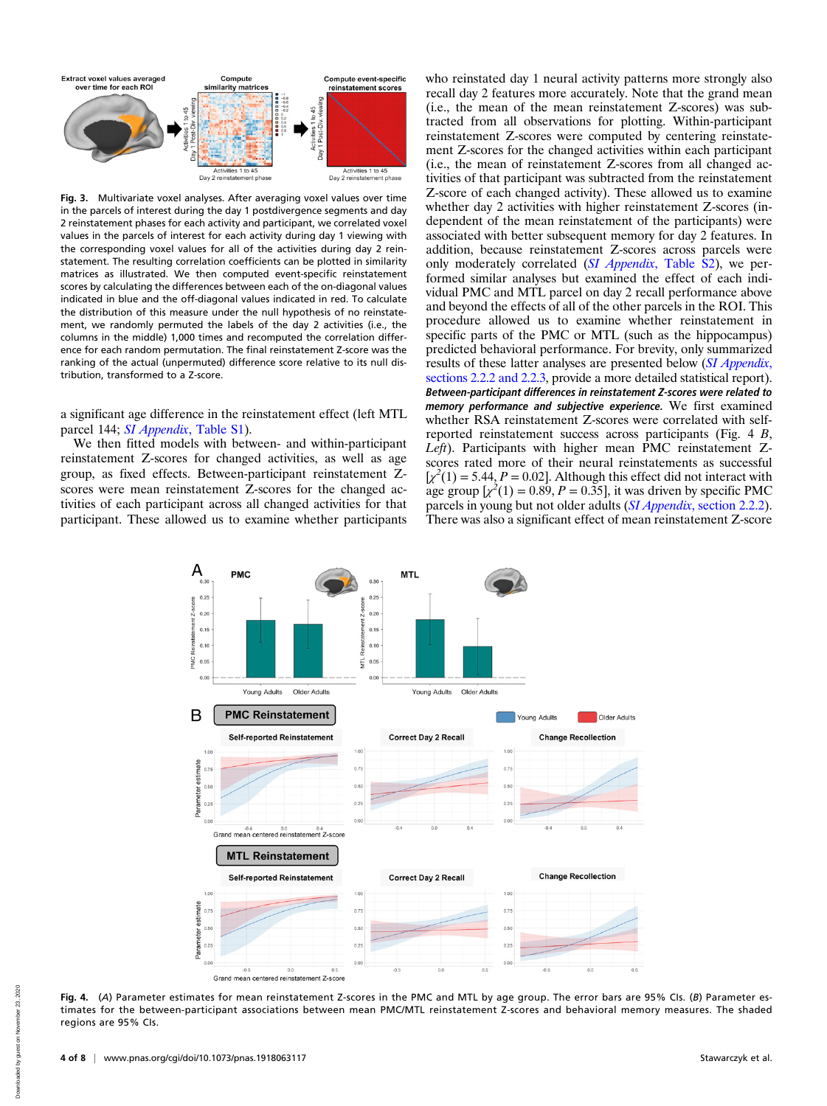

Fig. 3. Multivariate voxel analyses. After averaging voxel values over time in the parcels of interest during the day 1 postdivergence segments and day 2 reinstatement phases for each activity and participant, we correlated voxel values in the parcels of interest for each activity during day 1 viewing with the corresponding voxel values for all of the activities during day 2 reinstatement. The resulting correlation coefficients can be plotted in similarity matrices as illustrated. We then computed event-specific reinstatement scores by calculating the differences between each of the on-diagonal values indicated in blue and the off-diagonal values indicated in red. To calculate the distribution of this measure under the null hypothesis of no reinstatement, we randomly permuted the labels of the day 2 activities (i.e., the columns in the middle) 1,000 times and recomputed the correlation difference for each random permutation. The final reinstatement Z-score was the ranking of the actual (unpermuted) difference score relative to its null distribution, transformed to a Z-score.

a significant age difference in the reinstatement effect (left MTL parcel 144; [SI Appendix](https://www.pnas.org/lookup/suppl/doi:10.1073/pnas.1918063117/-/DCSupplemental), Table S1).

We then fitted models with between- and within-participant reinstatement Z-scores for changed activities, as well as age group, as fixed effects. Between-participant reinstatement Zscores were mean reinstatement Z-scores for the changed activities of each participant across all changed activities for that participant. These allowed us to examine whether participants who reinstated day 1 neural activity patterns more strongly also recall day 2 features more accurately. Note that the grand mean (i.e., the mean of the mean reinstatement Z-scores) was subtracted from all observations for plotting. Within-participant reinstatement Z-scores were computed by centering reinstatement Z-scores for the changed activities within each participant (i.e., the mean of reinstatement Z-scores from all changed activities of that participant was subtracted from the reinstatement Z-score of each changed activity). These allowed us to examine whether day 2 activities with higher reinstatement Z-scores (independent of the mean reinstatement of the participants) were associated with better subsequent memory for day 2 features. In addition, because reinstatement Z-scores across parcels were only moderately correlated ([SI Appendix](https://www.pnas.org/lookup/suppl/doi:10.1073/pnas.1918063117/-/DCSupplemental), Table S2), we performed similar analyses but examined the effect of each individual PMC and MTL parcel on day 2 recall performance above and beyond the effects of all of the other parcels in the ROI. This procedure allowed us to examine whether reinstatement in specific parts of the PMC or MTL (such as the hippocampus) predicted behavioral performance. For brevity, only summarized results of these latter analyses are presented below (*[SI Appendix](https://www.pnas.org/lookup/suppl/doi:10.1073/pnas.1918063117/-/DCSupplemental)*, [sections 2.2.2 and 2.2.3](https://www.pnas.org/lookup/suppl/doi:10.1073/pnas.1918063117/-/DCSupplemental), provide a more detailed statistical report). Between-participant differences in reinstatement Z-scores were related to memory performance and subjective experience. We first examined whether RSA reinstatement Z-scores were correlated with selfreported reinstatement success across participants (Fig. 4 B, Left). Participants with higher mean PMC reinstatement Zscores rated more of their neural reinstatements as successful  $[\chi^2(1) = 5.44, P = 0.02]$ . Although this effect did not interact with age group  $\left[\chi^2(1) = 0.89, P = 0.35\right]$ , it was driven by specific PMC parcels in young but not older adults (SI Appendix[, section 2.2.2\)](https://www.pnas.org/lookup/suppl/doi:10.1073/pnas.1918063117/-/DCSupplemental). There was also a significant effect of mean reinstatement Z-score



Fig. 4. (A) Parameter estimates for mean reinstatement Z-scores in the PMC and MTL by age group. The error bars are 95% CIs. (B) Parameter estimates for the between-participant associations between mean PMC/MTL reinstatement Z-scores and behavioral memory measures. The shaded regions are 95% CIs.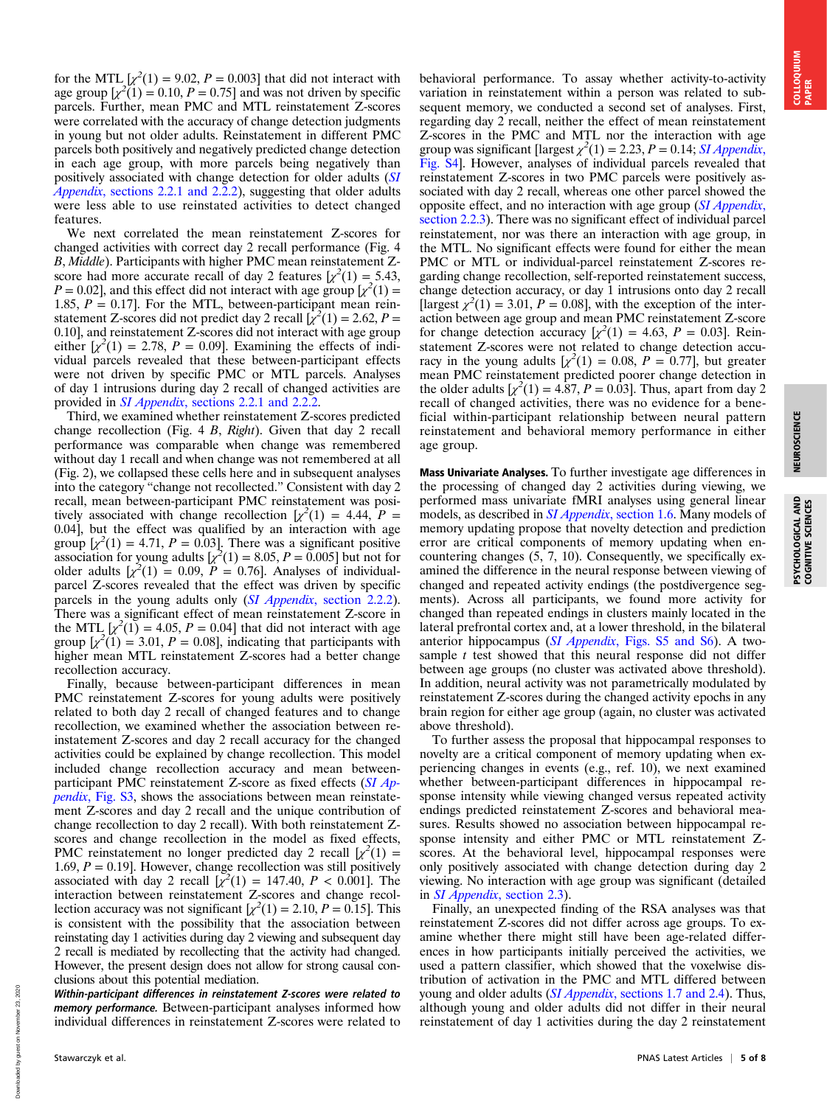NEUROSCIENCE

NEUROSCIENCE

PSYCHOLOGICAL AND COGNITIVE SCIENCES

PSYCHOLOGICAL AND<br>COGNITIVE SCIENCES

for the MTL  $[\chi^2(1) = 9.02, P = 0.003]$  that did not interact with age group  $\left[\chi^2(1) = 0.10, P = 0.75\right]$  and was not driven by specific parcels. Further, mean PMC and MTL reinstatement Z-scores were correlated with the accuracy of change detection judgments in young but not older adults. Reinstatement in different PMC parcels both positively and negatively predicted change detection in each age group, with more parcels being negatively than positively associated with change detection for older adults ([SI](https://www.pnas.org/lookup/suppl/doi:10.1073/pnas.1918063117/-/DCSupplemental) Appendix[, sections 2.2.1 and 2.2.2](https://www.pnas.org/lookup/suppl/doi:10.1073/pnas.1918063117/-/DCSupplemental)), suggesting that older adults were less able to use reinstated activities to detect changed features.

We next correlated the mean reinstatement Z-scores for changed activities with correct day 2 recall performance (Fig. 4 B, Middle). Participants with higher PMC mean reinstatement Zscore had more accurate recall of day 2 features  $[\chi^2(1) = 5.43]$ ,  $P = 0.02$ , and this effect did not interact with age group  $[\chi^2(1)] =$ 1.85,  $P = 0.17$ . For the MTL, between-participant mean reinstatement Z-scores did not predict day 2 recall  $[\chi^2(1) = 2.62, P =$ 0.10], and reinstatement Z-scores did not interact with age group either  $[\chi^2(1) = 2.78, P = 0.09]$ . Examining the effects of individual parcels revealed that these between-participant effects were not driven by specific PMC or MTL parcels. Analyses of day 1 intrusions during day 2 recall of changed activities are provided in SI Appendix[, sections 2.2.1 and 2.2.2.](https://www.pnas.org/lookup/suppl/doi:10.1073/pnas.1918063117/-/DCSupplemental)

Third, we examined whether reinstatement Z-scores predicted change recollection (Fig. 4 B, Right). Given that day 2 recall performance was comparable when change was remembered without day 1 recall and when change was not remembered at all (Fig. 2), we collapsed these cells here and in subsequent analyses into the category "change not recollected." Consistent with day 2 recall, mean between-participant PMC reinstatement was positively associated with change recollection  $[\chi^2(1) = 4.44, P =$ 0.04], but the effect was qualified by an interaction with age group  $\left[\chi^2(1) = 4.71, P = 0.03\right]$ . There was a significant positive association for young adults  $[\chi^2(1) = 8.05, P = 0.005]$  but not for older adults  $\chi^2(1) = 0.09$ ,  $P = 0.76$ ]. Analyses of individualparcel Z-scores revealed that the effect was driven by specific parcels in the young adults only (*SI Appendix*[, section 2.2.2\)](https://www.pnas.org/lookup/suppl/doi:10.1073/pnas.1918063117/-/DCSupplemental). There was a significant effect of mean reinstatement Z-score in the MTL  $[\chi^2(1) = 4.05, P = 0.04]$  that did not interact with age group  $\left[\chi^2(1) = 3.01, P = 0.08\right]$ , indicating that participants with higher mean MTL reinstatement Z-scores had a better change recollection accuracy.

Finally, because between-participant differences in mean PMC reinstatement Z-scores for young adults were positively related to both day 2 recall of changed features and to change recollection, we examined whether the association between reinstatement Z-scores and day 2 recall accuracy for the changed activities could be explained by change recollection. This model included change recollection accuracy and mean betweenparticipant PMC reinstatement Z-score as fixed effects ([SI Ap](https://www.pnas.org/lookup/suppl/doi:10.1073/pnas.1918063117/-/DCSupplemental)pendix[, Fig. S3](https://www.pnas.org/lookup/suppl/doi:10.1073/pnas.1918063117/-/DCSupplemental), shows the associations between mean reinstatement Z-scores and day 2 recall and the unique contribution of change recollection to day 2 recall). With both reinstatement Zscores and change recollection in the model as fixed effects, PMC reinstatement no longer predicted day 2 recall  $[\chi^2(1) =$ 1.69,  $P = 0.19$ . However, change recollection was still positively associated with day 2 recall  $\chi^2(1) = 147.40$ ,  $P < 0.001$ . The interaction between reinstatement Z-scores and change recollection accuracy was not significant  $[\chi^2(1) = 2.10, P = 0.15]$ . This is consistent with the possibility that the association between reinstating day 1 activities during day 2 viewing and subsequent day 2 recall is mediated by recollecting that the activity had changed. However, the present design does not allow for strong causal conclusions about this potential mediation.

Within-participant differences in reinstatement Z-scores were related to memory performance. Between-participant analyses informed how individual differences in reinstatement Z-scores were related to behavioral performance. To assay whether activity-to-activity variation in reinstatement within a person was related to subsequent memory, we conducted a second set of analyses. First, regarding day 2 recall, neither the effect of mean reinstatement Z-scores in the PMC and MTL nor the interaction with age group was significant [largest  $\chi^2(1) = 2.23$ ,  $P = 0.14$ ; [SI Appendix](https://www.pnas.org/lookup/suppl/doi:10.1073/pnas.1918063117/-/DCSupplemental), [Fig. S4](https://www.pnas.org/lookup/suppl/doi:10.1073/pnas.1918063117/-/DCSupplemental)]. However, analyses of individual parcels revealed that reinstatement Z-scores in two PMC parcels were positively associated with day 2 recall, whereas one other parcel showed the opposite effect, and no interaction with age group ([SI Appendix](https://www.pnas.org/lookup/suppl/doi:10.1073/pnas.1918063117/-/DCSupplemental), [section 2.2.3\)](https://www.pnas.org/lookup/suppl/doi:10.1073/pnas.1918063117/-/DCSupplemental). There was no significant effect of individual parcel reinstatement, nor was there an interaction with age group, in the MTL. No significant effects were found for either the mean PMC or MTL or individual-parcel reinstatement Z-scores regarding change recollection, self-reported reinstatement success, change detection accuracy, or day 1 intrusions onto day 2 recall [largest  $\chi^2(1) = 3.01$ ,  $P = 0.08$ ], with the exception of the interaction between age group and mean PMC reinstatement Z-score for change detection accuracy  $[\chi^2(1) = 4.63, P = 0.03]$ . Reinstatement Z-scores were not related to change detection accuracy in the young adults  $[\chi^2(1) = 0.08, P = 0.77]$ , but greater mean PMC reinstatement predicted poorer change detection in the older adults  $[\chi^2(1) = 4.87, P = 0.03]$ . Thus, apart from day 2 recall of changed activities, there was no evidence for a beneficial within-participant relationship between neural pattern reinstatement and behavioral memory performance in either age group.

Mass Univariate Analyses. To further investigate age differences in the processing of changed day 2 activities during viewing, we performed mass univariate fMRI analyses using general linear models, as described in *[SI Appendix](https://www.pnas.org/lookup/suppl/doi:10.1073/pnas.1918063117/-/DCSupplemental)*, section 1.6. Many models of memory updating propose that novelty detection and prediction error are critical components of memory updating when encountering changes (5, 7, 10). Consequently, we specifically examined the difference in the neural response between viewing of changed and repeated activity endings (the postdivergence segments). Across all participants, we found more activity for changed than repeated endings in clusters mainly located in the lateral prefrontal cortex and, at a lower threshold, in the bilateral anterior hippocampus (SI Appendix[, Figs. S5 and S6\)](https://www.pnas.org/lookup/suppl/doi:10.1073/pnas.1918063117/-/DCSupplemental). A twosample  $t$  test showed that this neural response did not differ between age groups (no cluster was activated above threshold). In addition, neural activity was not parametrically modulated by reinstatement Z-scores during the changed activity epochs in any brain region for either age group (again, no cluster was activated above threshold).

To further assess the proposal that hippocampal responses to novelty are a critical component of memory updating when experiencing changes in events (e.g., ref. 10), we next examined whether between-participant differences in hippocampal response intensity while viewing changed versus repeated activity endings predicted reinstatement Z-scores and behavioral measures. Results showed no association between hippocampal response intensity and either PMC or MTL reinstatement Zscores. At the behavioral level, hippocampal responses were only positively associated with change detection during day 2 viewing. No interaction with age group was significant (detailed in SI Appendix[, section 2.3\)](https://www.pnas.org/lookup/suppl/doi:10.1073/pnas.1918063117/-/DCSupplemental).

Finally, an unexpected finding of the RSA analyses was that reinstatement Z-scores did not differ across age groups. To examine whether there might still have been age-related differences in how participants initially perceived the activities, we used a pattern classifier, which showed that the voxelwise distribution of activation in the PMC and MTL differed between young and older adults (*SI Appendix*[, sections 1.7 and 2.4\)](https://www.pnas.org/lookup/suppl/doi:10.1073/pnas.1918063117/-/DCSupplemental). Thus, although young and older adults did not differ in their neural reinstatement of day 1 activities during the day 2 reinstatement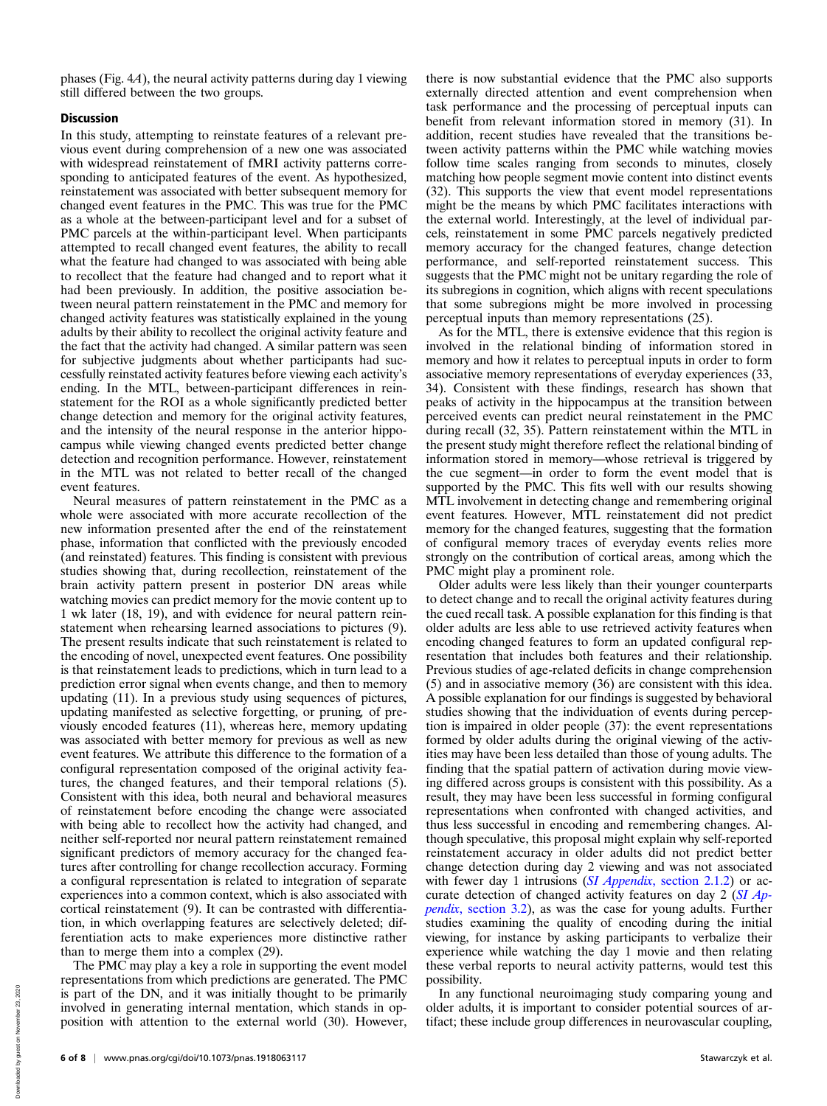phases (Fig. 4A), the neural activity patterns during day 1 viewing still differed between the two groups.

## Discussion

In this study, attempting to reinstate features of a relevant previous event during comprehension of a new one was associated with widespread reinstatement of fMRI activity patterns corresponding to anticipated features of the event. As hypothesized, reinstatement was associated with better subsequent memory for changed event features in the PMC. This was true for the PMC as a whole at the between-participant level and for a subset of PMC parcels at the within-participant level. When participants attempted to recall changed event features, the ability to recall what the feature had changed to was associated with being able to recollect that the feature had changed and to report what it had been previously. In addition, the positive association between neural pattern reinstatement in the PMC and memory for changed activity features was statistically explained in the young adults by their ability to recollect the original activity feature and the fact that the activity had changed. A similar pattern was seen for subjective judgments about whether participants had successfully reinstated activity features before viewing each activity's ending. In the MTL, between-participant differences in reinstatement for the ROI as a whole significantly predicted better change detection and memory for the original activity features, and the intensity of the neural response in the anterior hippocampus while viewing changed events predicted better change detection and recognition performance. However, reinstatement in the MTL was not related to better recall of the changed event features.

Neural measures of pattern reinstatement in the PMC as a whole were associated with more accurate recollection of the new information presented after the end of the reinstatement phase, information that conflicted with the previously encoded (and reinstated) features. This finding is consistent with previous studies showing that, during recollection, reinstatement of the brain activity pattern present in posterior DN areas while watching movies can predict memory for the movie content up to 1 wk later (18, 19), and with evidence for neural pattern reinstatement when rehearsing learned associations to pictures (9). The present results indicate that such reinstatement is related to the encoding of novel, unexpected event features. One possibility is that reinstatement leads to predictions, which in turn lead to a prediction error signal when events change, and then to memory updating (11). In a previous study using sequences of pictures, updating manifested as selective forgetting, or pruning, of previously encoded features (11), whereas here, memory updating was associated with better memory for previous as well as new event features. We attribute this difference to the formation of a configural representation composed of the original activity features, the changed features, and their temporal relations (5). Consistent with this idea, both neural and behavioral measures of reinstatement before encoding the change were associated with being able to recollect how the activity had changed, and neither self-reported nor neural pattern reinstatement remained significant predictors of memory accuracy for the changed features after controlling for change recollection accuracy. Forming a configural representation is related to integration of separate experiences into a common context, which is also associated with cortical reinstatement (9). It can be contrasted with differentiation, in which overlapping features are selectively deleted; differentiation acts to make experiences more distinctive rather than to merge them into a complex (29).

The PMC may play a key a role in supporting the event model representations from which predictions are generated. The PMC is part of the DN, and it was initially thought to be primarily involved in generating internal mentation, which stands in opposition with attention to the external world (30). However, there is now substantial evidence that the PMC also supports externally directed attention and event comprehension when task performance and the processing of perceptual inputs can benefit from relevant information stored in memory (31). In addition, recent studies have revealed that the transitions between activity patterns within the PMC while watching movies follow time scales ranging from seconds to minutes, closely matching how people segment movie content into distinct events (32). This supports the view that event model representations might be the means by which PMC facilitates interactions with the external world. Interestingly, at the level of individual parcels, reinstatement in some PMC parcels negatively predicted memory accuracy for the changed features, change detection performance, and self-reported reinstatement success. This suggests that the PMC might not be unitary regarding the role of its subregions in cognition, which aligns with recent speculations that some subregions might be more involved in processing perceptual inputs than memory representations (25).

As for the MTL, there is extensive evidence that this region is involved in the relational binding of information stored in memory and how it relates to perceptual inputs in order to form associative memory representations of everyday experiences (33, 34). Consistent with these findings, research has shown that peaks of activity in the hippocampus at the transition between perceived events can predict neural reinstatement in the PMC during recall (32, 35). Pattern reinstatement within the MTL in the present study might therefore reflect the relational binding of information stored in memory—whose retrieval is triggered by the cue segment—in order to form the event model that is supported by the PMC. This fits well with our results showing MTL involvement in detecting change and remembering original event features. However, MTL reinstatement did not predict memory for the changed features, suggesting that the formation of configural memory traces of everyday events relies more strongly on the contribution of cortical areas, among which the PMC might play a prominent role.

Older adults were less likely than their younger counterparts to detect change and to recall the original activity features during the cued recall task. A possible explanation for this finding is that older adults are less able to use retrieved activity features when encoding changed features to form an updated configural representation that includes both features and their relationship. Previous studies of age-related deficits in change comprehension (5) and in associative memory (36) are consistent with this idea. A possible explanation for our findings is suggested by behavioral studies showing that the individuation of events during perception is impaired in older people (37): the event representations formed by older adults during the original viewing of the activities may have been less detailed than those of young adults. The finding that the spatial pattern of activation during movie viewing differed across groups is consistent with this possibility. As a result, they may have been less successful in forming configural representations when confronted with changed activities, and thus less successful in encoding and remembering changes. Although speculative, this proposal might explain why self-reported reinstatement accuracy in older adults did not predict better change detection during day 2 viewing and was not associated with fewer day 1 intrusions (SI Appendix[, section 2.1.2](https://www.pnas.org/lookup/suppl/doi:10.1073/pnas.1918063117/-/DCSupplemental)) or accurate detection of changed activity features on day 2  $(SIAp-)$ pendix[, section 3.2\)](https://www.pnas.org/lookup/suppl/doi:10.1073/pnas.1918063117/-/DCSupplemental), as was the case for young adults. Further studies examining the quality of encoding during the initial viewing, for instance by asking participants to verbalize their experience while watching the day 1 movie and then relating these verbal reports to neural activity patterns, would test this possibility.

In any functional neuroimaging study comparing young and older adults, it is important to consider potential sources of artifact; these include group differences in neurovascular coupling,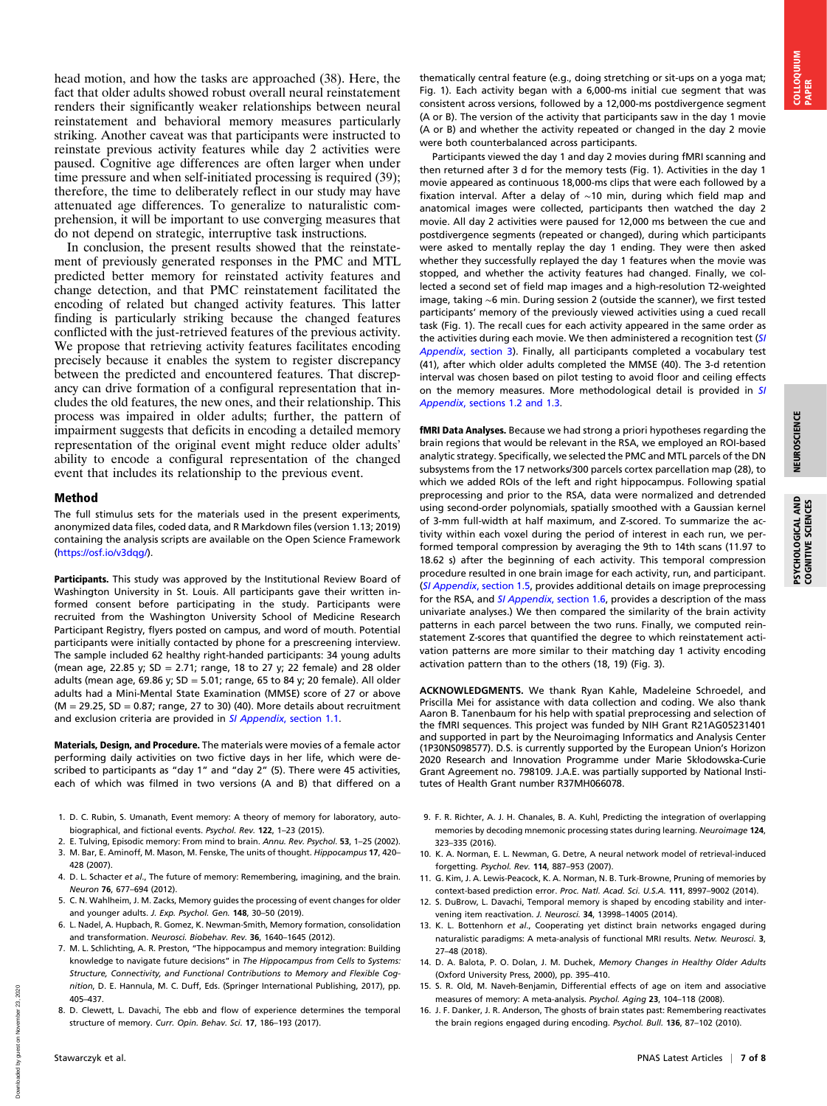head motion, and how the tasks are approached (38). Here, the fact that older adults showed robust overall neural reinstatement renders their significantly weaker relationships between neural reinstatement and behavioral memory measures particularly striking. Another caveat was that participants were instructed to reinstate previous activity features while day 2 activities were paused. Cognitive age differences are often larger when under time pressure and when self-initiated processing is required (39); therefore, the time to deliberately reflect in our study may have attenuated age differences. To generalize to naturalistic comprehension, it will be important to use converging measures that do not depend on strategic, interruptive task instructions.

In conclusion, the present results showed that the reinstatement of previously generated responses in the PMC and MTL predicted better memory for reinstated activity features and change detection, and that PMC reinstatement facilitated the encoding of related but changed activity features. This latter finding is particularly striking because the changed features conflicted with the just-retrieved features of the previous activity. We propose that retrieving activity features facilitates encoding precisely because it enables the system to register discrepancy between the predicted and encountered features. That discrepancy can drive formation of a configural representation that includes the old features, the new ones, and their relationship. This process was impaired in older adults; further, the pattern of impairment suggests that deficits in encoding a detailed memory representation of the original event might reduce older adults' ability to encode a configural representation of the changed event that includes its relationship to the previous event.

## Method

The full stimulus sets for the materials used in the present experiments, anonymized data files, coded data, and R Markdown files (version 1.13; 2019) containing the analysis scripts are available on the Open Science Framework (<https://osf.io/v3dqg/>).

Participants. This study was approved by the Institutional Review Board of Washington University in St. Louis. All participants gave their written informed consent before participating in the study. Participants were recruited from the Washington University School of Medicine Research Participant Registry, flyers posted on campus, and word of mouth. Potential participants were initially contacted by phone for a prescreening interview. The sample included 62 healthy right-handed participants: 34 young adults (mean age, 22.85 y;  $SD = 2.71$ ; range, 18 to 27 y; 22 female) and 28 older adults (mean age, 69.86 y; SD = 5.01; range, 65 to 84 y; 20 female). All older adults had a Mini-Mental State Examination (MMSE) score of 27 or above  $(M = 29.25, SD = 0.87; range, 27 to 30)$  (40). More details about recruitment and exclusion criteria are provided in SI Appendix[, section 1.1.](https://www.pnas.org/lookup/suppl/doi:10.1073/pnas.1918063117/-/DCSupplemental)

Materials, Design, and Procedure. The materials were movies of a female actor performing daily activities on two fictive days in her life, which were described to participants as "day 1" and "day 2" (5). There were 45 activities, each of which was filmed in two versions (A and B) that differed on a

- 1. D. C. Rubin, S. Umanath, Event memory: A theory of memory for laboratory, autobiographical, and fictional events. Psychol. Rev. 122, 1–23 (2015).
- 2. E. Tulving, Episodic memory: From mind to brain. Annu. Rev. Psychol. 53, 1–25 (2002). 3. M. Bar, E. Aminoff, M. Mason, M. Fenske, The units of thought. Hippocampus 17, 420–
- 428 (2007). 4. D. L. Schacter et al., The future of memory: Remembering, imagining, and the brain. Neuron 76, 677–694 (2012).
- 5. C. N. Wahlheim, J. M. Zacks, Memory guides the processing of event changes for older and younger adults. J. Exp. Psychol. Gen. 148, 30-50 (2019).
- 6. L. Nadel, A. Hupbach, R. Gomez, K. Newman-Smith, Memory formation, consolidation and transformation. Neurosci. Biobehav. Rev. 36, 1640–1645 (2012).
- 7. M. L. Schlichting, A. R. Preston, "The hippocampus and memory integration: Building knowledge to navigate future decisions" in The Hippocampus from Cells to Systems: Structure, Connectivity, and Functional Contributions to Memory and Flexible Cognition, D. E. Hannula, M. C. Duff, Eds. (Springer International Publishing, 2017), pp. 405–437.
- 8. D. Clewett, L. Davachi, The ebb and flow of experience determines the temporal structure of memory. Curr. Opin. Behav. Sci. 17, 186–193 (2017).

thematically central feature (e.g., doing stretching or sit-ups on a yoga mat; Fig. 1). Each activity began with a 6,000-ms initial cue segment that was consistent across versions, followed by a 12,000-ms postdivergence segment (A or B). The version of the activity that participants saw in the day 1 movie (A or B) and whether the activity repeated or changed in the day 2 movie were both counterbalanced across participants.

Participants viewed the day 1 and day 2 movies during fMRI scanning and then returned after 3 d for the memory tests (Fig. 1). Activities in the day 1 movie appeared as continuous 18,000-ms clips that were each followed by a fixation interval. After a delay of ∼10 min, during which field map and anatomical images were collected, participants then watched the day 2 movie. All day 2 activities were paused for 12,000 ms between the cue and postdivergence segments (repeated or changed), during which participants were asked to mentally replay the day 1 ending. They were then asked whether they successfully replayed the day 1 features when the movie was stopped, and whether the activity features had changed. Finally, we collected a second set of field map images and a high-resolution T2-weighted image, taking ∼6 min. During session 2 (outside the scanner), we first tested participants' memory of the previously viewed activities using a cued recall task (Fig. 1). The recall cues for each activity appeared in the same order as the activities during each movie. We then administered a recognition test ([SI](https://www.pnas.org/lookup/suppl/doi:10.1073/pnas.1918063117/-/DCSupplemental) Appendix[, section 3\)](https://www.pnas.org/lookup/suppl/doi:10.1073/pnas.1918063117/-/DCSupplemental). Finally, all participants completed a vocabulary test (41), after which older adults completed the MMSE (40). The 3-d retention interval was chosen based on pilot testing to avoid floor and ceiling effects on the memory measures. More methodological detail is provided in [SI](https://www.pnas.org/lookup/suppl/doi:10.1073/pnas.1918063117/-/DCSupplemental) Appendix[, sections 1.2 and 1.3](https://www.pnas.org/lookup/suppl/doi:10.1073/pnas.1918063117/-/DCSupplemental).

fMRI Data Analyses. Because we had strong a priori hypotheses regarding the brain regions that would be relevant in the RSA, we employed an ROI-based analytic strategy. Specifically, we selected the PMC and MTL parcels of the DN subsystems from the 17 networks/300 parcels cortex parcellation map (28), to which we added ROIs of the left and right hippocampus. Following spatial preprocessing and prior to the RSA, data were normalized and detrended using second-order polynomials, spatially smoothed with a Gaussian kernel of 3-mm full-width at half maximum, and Z-scored. To summarize the activity within each voxel during the period of interest in each run, we performed temporal compression by averaging the 9th to 14th scans (11.97 to 18.62 s) after the beginning of each activity. This temporal compression procedure resulted in one brain image for each activity, run, and participant. ([SI Appendix](https://www.pnas.org/lookup/suppl/doi:10.1073/pnas.1918063117/-/DCSupplemental), section 1.5, provides additional details on image preprocessing for the RSA, and [SI Appendix](https://www.pnas.org/lookup/suppl/doi:10.1073/pnas.1918063117/-/DCSupplemental), section 1.6, provides a description of the mass univariate analyses.) We then compared the similarity of the brain activity patterns in each parcel between the two runs. Finally, we computed reinstatement Z-scores that quantified the degree to which reinstatement activation patterns are more similar to their matching day 1 activity encoding activation pattern than to the others (18, 19) (Fig. 3).

ACKNOWLEDGMENTS. We thank Ryan Kahle, Madeleine Schroedel, and Priscilla Mei for assistance with data collection and coding. We also thank Aaron B. Tanenbaum for his help with spatial preprocessing and selection of the fMRI sequences. This project was funded by NIH Grant R21AG05231401 and supported in part by the Neuroimaging Informatics and Analysis Center (1P30NS098577). D.S. is currently supported by the European Union's Horizon 2020 Research and Innovation Programme under Marie Skłodowska‐Curie Grant Agreement no. 798109. J.A.E. was partially supported by National Institutes of Health Grant number R37MH066078.

- 9. F. R. Richter, A. J. H. Chanales, B. A. Kuhl, Predicting the integration of overlapping memories by decoding mnemonic processing states during learning. Neuroimage 124, 323–335 (2016).
- 10. K. A. Norman, E. L. Newman, G. Detre, A neural network model of retrieval-induced forgetting. Psychol. Rev. 114, 887–953 (2007).
- 11. G. Kim, J. A. Lewis-Peacock, K. A. Norman, N. B. Turk-Browne, Pruning of memories by context-based prediction error. Proc. Natl. Acad. Sci. U.S.A. 111, 8997–9002 (2014).
- 12. S. DuBrow, L. Davachi, Temporal memory is shaped by encoding stability and intervening item reactivation. J. Neurosci. 34, 13998-14005 (2014).
- 13. K. L. Bottenhorn et al., Cooperating yet distinct brain networks engaged during naturalistic paradigms: A meta-analysis of functional MRI results. Netw. Neurosci. 3, 27–48 (2018).
- 14. D. A. Balota, P. O. Dolan, J. M. Duchek, Memory Changes in Healthy Older Adults (Oxford University Press, 2000), pp. 395–410.
- 15. S. R. Old, M. Naveh-Benjamin, Differential effects of age on item and associative measures of memory: A meta-analysis. Psychol. Aging 23, 104–118 (2008).
- 16. J. F. Danker, J. R. Anderson, The ghosts of brain states past: Remembering reactivates the brain regions engaged during encoding. Psychol. Bull. 136, 87-102 (2010).

Downloaded by guest on November 23, 2020

Downloaded by guest on November 23,

2020